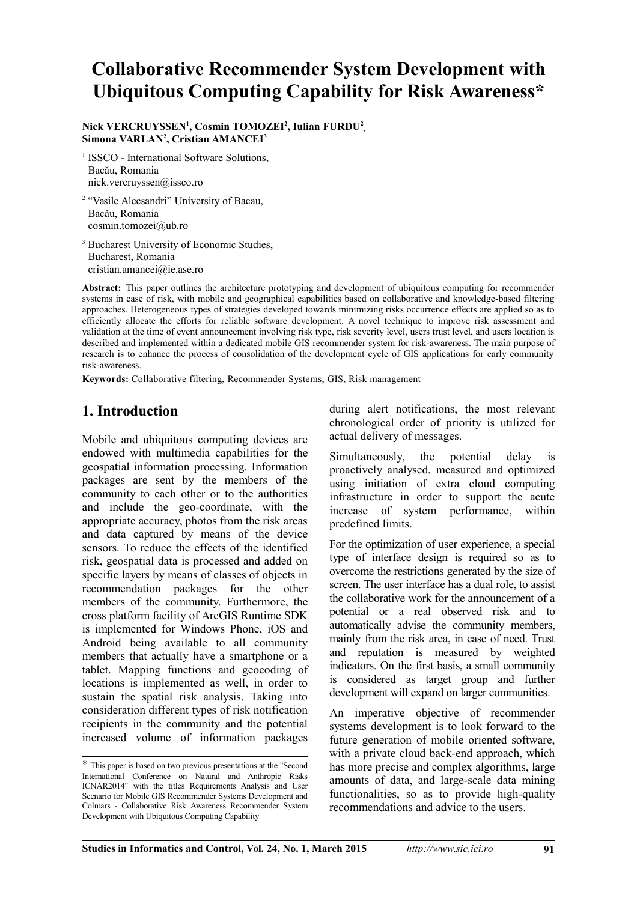# **Collaborative Recommender System Development with Ubiquitous Computing Capability for Risk Awareness\***

**Nick VERCRUYSSEN<sup>1</sup> , Cosmin TOMOZEI<sup>2</sup> , Iulian FURDU<sup>2</sup> , Simona VARLAN<sup>2</sup> , Cristian AMANCEI<sup>3</sup>**

<sup>1</sup> ISSCO - International Software Solutions, Bacău, Romania nick.vercruyssen@issco.ro

<sup>2</sup> "Vasile Alecsandri" University of Bacau, Bacău, Romania cosmin.tomozei@ub.ro

<sup>3</sup> Bucharest University of Economic Studies, Bucharest, Romania cristian.amancei@ie.ase.ro

**Abstract:** This paper outlines the architecture prototyping and development of ubiquitous computing for recommender systems in case of risk, with mobile and geographical capabilities based on collaborative and knowledge-based filtering approaches. Heterogeneous types of strategies developed towards minimizing risks occurrence effects are applied so as to efficiently allocate the efforts for reliable software development. A novel technique to improve risk assessment and validation at the time of event announcement involving risk type, risk severity level, users trust level, and users location is described and implemented within a dedicated mobile GIS recommender system for risk-awareness. The main purpose of research is to enhance the process of consolidation of the development cycle of GIS applications for early community risk-awareness.

**Keywords:** Collaborative filtering, Recommender Systems, GIS, Risk management

# **1. Introduction[\\*](#page-0-0)**

Mobile and ubiquitous computing devices are endowed with multimedia capabilities for the geospatial information processing. Information packages are sent by the members of the community to each other or to the authorities and include the geo-coordinate, with the appropriate accuracy, photos from the risk areas and data captured by means of the device sensors. To reduce the effects of the identified risk, geospatial data is processed and added on specific layers by means of classes of objects in recommendation packages for the other members of the community. Furthermore, the cross platform facility of ArcGIS Runtime SDK is implemented for Windows Phone, iOS and Android being available to all community members that actually have a smartphone or a tablet. Mapping functions and geocoding of locations is implemented as well, in order to sustain the spatial risk analysis. Taking into consideration different types of risk notification recipients in the community and the potential increased volume of information packages

during alert notifications, the most relevant chronological order of priority is utilized for actual delivery of messages.

Simultaneously, the potential delay is proactively analysed, measured and optimized using initiation of extra cloud computing infrastructure in order to support the acute increase of system performance, within predefined limits.

For the optimization of user experience, a special type of interface design is required so as to overcome the restrictions generated by the size of screen. The user interface has a dual role, to assist the collaborative work for the announcement of a potential or a real observed risk and to automatically advise the community members, mainly from the risk area, in case of need. Trust and reputation is measured by weighted indicators. On the first basis, a small community is considered as target group and further development will expand on larger communities.

An imperative objective of recommender systems development is to look forward to the future generation of mobile oriented software, with a private cloud back-end approach, which has more precise and complex algorithms, large amounts of data, and large-scale data mining functionalities, so as to provide high-quality recommendations and advice to the users.

<span id="page-0-0"></span><sup>\*</sup> This paper is based on two previous presentations at the "Second International Conference on Natural and Anthropic Risks ICNAR2014" with the titles Requirements Analysis and User Scenario for Mobile GIS Recommender Systems Development and Colmars - Collaborative Risk Awareness Recommender System Development with Ubiquitous Computing Capability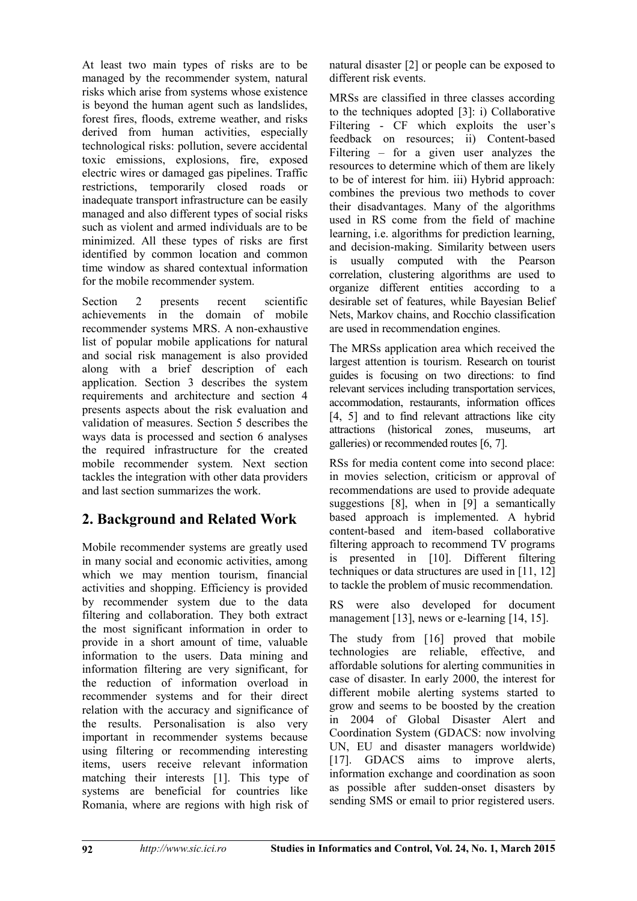At least two main types of risks are to be managed by the recommender system, natural risks which arise from systems whose existence is beyond the human agent such as landslides, forest fires, floods, extreme weather, and risks derived from human activities, especially technological risks: pollution, severe accidental toxic emissions, explosions, fire, exposed electric wires or damaged gas pipelines. Traffic restrictions, temporarily closed roads or inadequate transport infrastructure can be easily managed and also different types of social risks such as violent and armed individuals are to be minimized. All these types of risks are first identified by common location and common time window as shared contextual information for the mobile recommender system.

Section 2 presents recent scientific achievements in the domain of mobile recommender systems MRS. A non-exhaustive list of popular mobile applications for natural and social risk management is also provided along with a brief description of each application. Section 3 describes the system requirements and architecture and section 4 presents aspects about the risk evaluation and validation of measures. Section 5 describes the ways data is processed and section 6 analyses the required infrastructure for the created mobile recommender system. Next section tackles the integration with other data providers and last section summarizes the work.

# **2. Background and Related Work**

Mobile recommender systems are greatly used in many social and economic activities, among which we may mention tourism, financial activities and shopping. Efficiency is provided by recommender system due to the data filtering and collaboration. They both extract the most significant information in order to provide in a short amount of time, valuable information to the users. Data mining and information filtering are very significant, for the reduction of information overload in recommender systems and for their direct relation with the accuracy and significance of the results. Personalisation is also very important in recommender systems because using filtering or recommending interesting items, users receive relevant information matching their interests [1]. This type of systems are beneficial for countries like Romania, where are regions with high risk of natural disaster [2] or people can be exposed to different risk events.

MRSs are classified in three classes according to the techniques adopted [3]: i) Collaborative Filtering - CF which exploits the user's feedback on resources; ii) Content-based Filtering – for a given user analyzes the resources to determine which of them are likely to be of interest for him. iii) Hybrid approach: combines the previous two methods to cover their disadvantages. Many of the algorithms used in RS come from the field of machine learning, i.e. algorithms for prediction learning, and decision-making. Similarity between users is usually computed with the Pearson correlation, clustering algorithms are used to organize different entities according to a desirable set of features, while Bayesian Belief Nets, Markov chains, and Rocchio classification are used in recommendation engines.

The MRSs application area which received the largest attention is tourism. Research on tourist guides is focusing on two directions: to find relevant services including transportation services, accommodation, restaurants, information offices [4, 5] and to find relevant attractions like city attractions (historical zones, museums, art galleries) or recommended routes [6, 7].

RSs for media content come into second place: in movies selection, criticism or approval of recommendations are used to provide adequate suggestions [8], when in [9] a semantically based approach is implemented. A hybrid content-based and item-based collaborative filtering approach to recommend TV programs is presented in [10]. Different filtering techniques or data structures are used in [11, 12] to tackle the problem of music recommendation.

RS were also developed for document management [13], news or e-learning [14, 15].

The study from [16] proved that mobile technologies are reliable, effective, and affordable solutions for alerting communities in case of disaster. In early 2000, the interest for different mobile alerting systems started to grow and seems to be boosted by the creation in 2004 of Global Disaster Alert and Coordination System (GDACS: now involving UN, EU and disaster managers worldwide) [17]. GDACS aims to improve alerts, information exchange and coordination as soon as possible after sudden-onset disasters by sending SMS or email to prior registered users.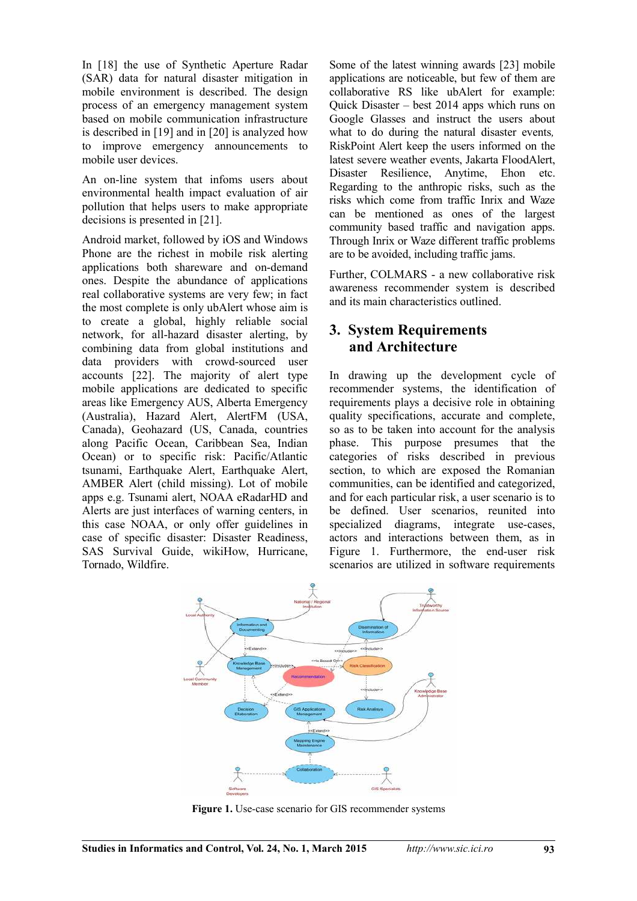In [18] the use of Synthetic Aperture Radar (SAR) data for natural disaster mitigation in mobile environment is described. The design process of an emergency management system based on mobile communication infrastructure is described in [19] and in [20] is analyzed how to improve emergency announcements to mobile user devices.

An on-line system that infoms users about environmental health impact evaluation of air pollution that helps users to make appropriate decisions is presented in [21].

Android market, followed by iOS and Windows Phone are the richest in mobile risk alerting applications both shareware and on-demand ones. Despite the abundance of applications real collaborative systems are very few; in fact the most complete is only ubAlert whose aim is to create a global, highly reliable social network, for all-hazard disaster alerting, by combining data from global institutions and data providers with crowd-sourced user accounts [22]. The majority of alert type mobile applications are dedicated to specific areas like Emergency AUS, Alberta Emergency (Australia), Hazard Alert, AlertFM (USA, Canada), Geohazard (US, Canada, countries along Pacific Ocean, Caribbean Sea, Indian Ocean) or to specific risk: Pacific/Atlantic tsunami, Earthquake Alert, Earthquake Alert, AMBER Alert (child missing). Lot of mobile apps e.g. Tsunami alert, NOAA eRadarHD and Alerts are just interfaces of warning centers, in this case NOAA, or only offer guidelines in case of specific disaster: Disaster Readiness, SAS Survival Guide, wikiHow, Hurricane, Tornado, Wildfire.

Some of the latest winning awards [23] mobile applications are noticeable, but few of them are collaborative RS like ubAlert for example: Quick Disaster – best 2014 apps which runs on Google Glasses and instruct the users about what to do during the natural disaster events*,* RiskPoint Alert keep the users informed on the latest severe weather events, Jakarta FloodAlert, Disaster Resilience, Anytime, Ehon etc. Regarding to the anthropic risks, such as the risks which come from traffic Inrix and Waze can be mentioned as ones of the largest community based traffic and navigation apps. Through Inrix or Waze different traffic problems are to be avoided, including traffic jams.

Further, COLMARS - a new collaborative risk awareness recommender system is described and its main characteristics outlined.

### **3. System Requirements and Architecture**

In drawing up the development cycle of recommender systems, the identification of requirements plays a decisive role in obtaining quality specifications, accurate and complete, so as to be taken into account for the analysis phase. This purpose presumes that the categories of risks described in previous section, to which are exposed the Romanian communities, can be identified and categorized, and for each particular risk, a user scenario is to be defined. User scenarios, reunited into specialized diagrams, integrate use-cases, actors and interactions between them, as in Figure 1. Furthermore, the end-user risk scenarios are utilized in software requirements



Figure 1. Use-case scenario for GIS recommender systems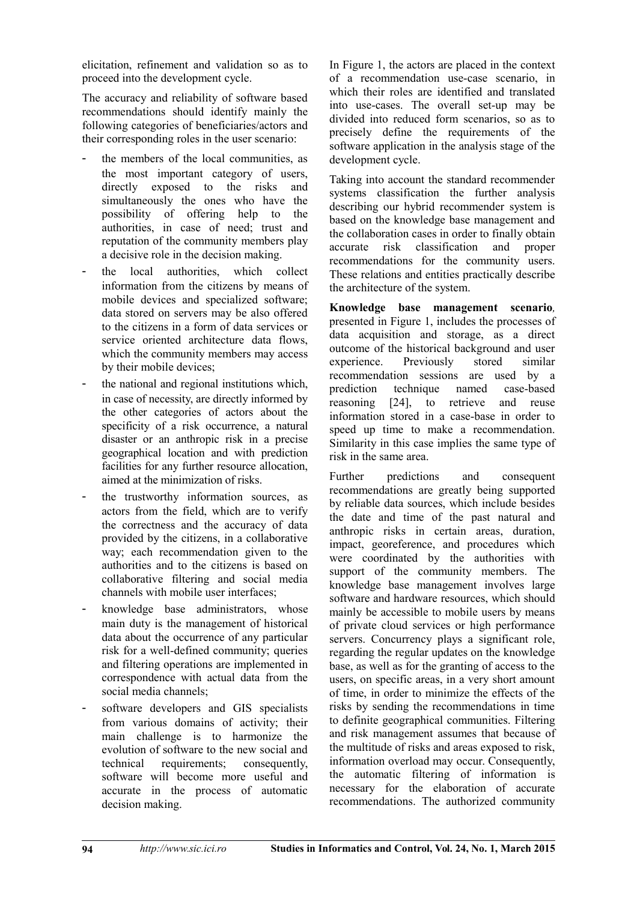elicitation, refinement and validation so as to proceed into the development cycle.

The accuracy and reliability of software based recommendations should identify mainly the following categories of beneficiaries/actors and their corresponding roles in the user scenario:

- the members of the local communities, as the most important category of users, directly exposed to the risks and simultaneously the ones who have the possibility of offering help to the authorities, in case of need; trust and reputation of the community members play a decisive role in the decision making.
- the local authorities, which collect information from the citizens by means of mobile devices and specialized software; data stored on servers may be also offered to the citizens in a form of data services or service oriented architecture data flows, which the community members may access by their mobile devices;
- the national and regional institutions which. in case of necessity, are directly informed by the other categories of actors about the specificity of a risk occurrence, a natural disaster or an anthropic risk in a precise geographical location and with prediction facilities for any further resource allocation, aimed at the minimization of risks.
- the trustworthy information sources, as actors from the field, which are to verify the correctness and the accuracy of data provided by the citizens, in a collaborative way; each recommendation given to the authorities and to the citizens is based on collaborative filtering and social media channels with mobile user interfaces;
- knowledge base administrators, whose main duty is the management of historical data about the occurrence of any particular risk for a well-defined community; queries and filtering operations are implemented in correspondence with actual data from the social media channels;
- software developers and GIS specialists from various domains of activity; their main challenge is to harmonize the evolution of software to the new social and technical requirements; consequently, software will become more useful and accurate in the process of automatic decision making.

In Figure 1, the actors are placed in the context of a recommendation use-case scenario, in which their roles are identified and translated into use-cases. The overall set-up may be divided into reduced form scenarios, so as to precisely define the requirements of the software application in the analysis stage of the development cycle.

Taking into account the standard recommender systems classification the further analysis describing our hybrid recommender system is based on the knowledge base management and the collaboration cases in order to finally obtain accurate risk classification and proper recommendations for the community users. These relations and entities practically describe the architecture of the system.

**Knowledge base management scenario***,* presented in Figure 1, includes the processes of data acquisition and storage, as a direct outcome of the historical background and user experience. Previously stored similar recommendation sessions are used by a prediction technique named case-based reasoning [24], to retrieve and reuse information stored in a case-base in order to speed up time to make a recommendation. Similarity in this case implies the same type of risk in the same area.

Further predictions and consequent recommendations are greatly being supported by reliable data sources, which include besides the date and time of the past natural and anthropic risks in certain areas, duration, impact, georeference, and procedures which were coordinated by the authorities with support of the community members. The knowledge base management involves large software and hardware resources, which should mainly be accessible to mobile users by means of private cloud services or high performance servers. Concurrency plays a significant role, regarding the regular updates on the knowledge base, as well as for the granting of access to the users, on specific areas, in a very short amount of time, in order to minimize the effects of the risks by sending the recommendations in time to definite geographical communities. Filtering and risk management assumes that because of the multitude of risks and areas exposed to risk, information overload may occur. Consequently, the automatic filtering of information is necessary for the elaboration of accurate recommendations. The authorized community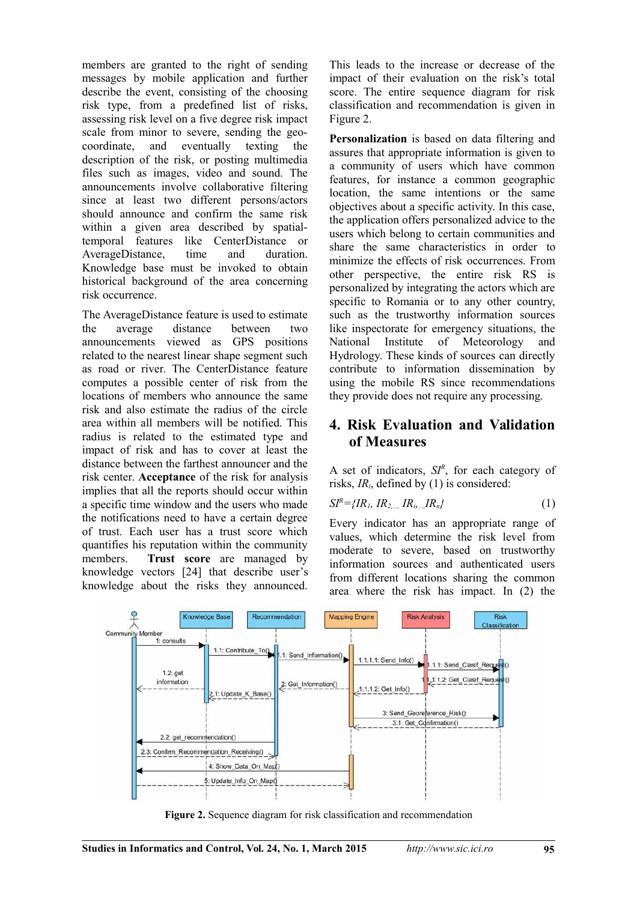members are granted to the right of sending messages by mobile application and further describe the event, consisting of the choosing risk type, from a predefined list of risks, assessing risk level on a five degree risk impact scale from minor to severe, sending the geocoordinate, and eventually texting the description of the risk, or posting multimedia files such as images, video and sound. The announcements involve collaborative filtering since at least two different persons/actors should announce and confirm the same risk within a given area described by spatialtemporal features like CenterDistance or AverageDistance, time and duration. Knowledge base must be invoked to obtain historical background of the area concerning risk occurrence.

The AverageDistance feature is used to estimate the average distance between two announcements viewed as GPS positions related to the nearest linear shape segment such as road or river. The CenterDistance feature computes a possible center of risk from the locations of members who announce the same risk and also estimate the radius of the circle area within all members will be notified. This radius is related to the estimated type and impact of risk and has to cover at least the distance between the farthest announcer and the risk center. **Acceptance** of the risk for analysis implies that all the reports should occur within a specific time window and the users who made the notifications need to have a certain degree of trust. Each user has a trust score which quantifies his reputation within the community members. **Trust score** are managed by knowledge vectors [24] that describe user's knowledge about the risks they announced.

This leads to the increase or decrease of the impact of their evaluation on the risk's total score. The entire sequence diagram for risk classification and recommendation is given in Figure 2.

**Personalization** is based on data filtering and assures that appropriate information is given to a community of users which have common features, for instance a common geographic location, the same intentions or the same objectives about a specific activity. In this case, the application offers personalized advice to the users which belong to certain communities and share the same characteristics in order to minimize the effects of risk occurrences. From other perspective, the entire risk RS is personalized by integrating the actors which are specific to Romania or to any other country, such as the trustworthy information sources like inspectorate for emergency situations, the National Institute of Meteorology and Hydrology. These kinds of sources can directly contribute to information dissemination by using the mobile RS since recommendations they provide does not require any processing.

### **4. Risk Evaluation and Validation of Measures**

A set of indicators, *SI<sup>R</sup>* , for each category of risks, *IRi*, defined by (1) is considered:

$$
SI^{R} = \{IR_{1}, IR_{2,...,}IR_{i,...,}IR_{n}\}\tag{1}
$$

Every indicator has an appropriate range of values, which determine the risk level from moderate to severe, based on trustworthy information sources and authenticated users from different locations sharing the common area where the risk has impact. In (2) the



**Figure 2.** Sequence diagram for risk classification and recommendation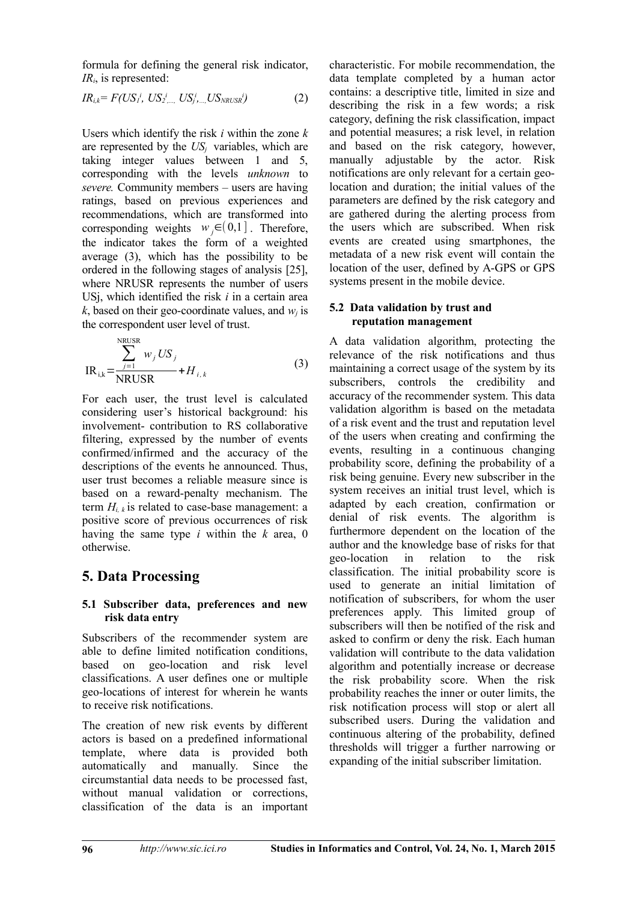formula for defining the general risk indicator, *IRi*, is represented:

 $IR_{i,k}$ =  $F(US_{1}^{i}, \; US_{2}^{i}, \; \ldots, \; US_{j}^{i}, \; \ldots, \; US_{NRUSR}^{i})$ *)* (2)

Users which identify the risk *i* within the zone *k* are represented by the *USj* variables, which are taking integer values between 1 and 5, corresponding with the levels *unknown* to *severe.* Community members – users are having ratings, based on previous experiences and recommendations, which are transformed into corresponding weights  $w_i \in (0,1]$ . Therefore, the indicator takes the form of a weighted average (3), which has the possibility to be ordered in the following stages of analysis [25], where NRUSR represents the number of users USj, which identified the risk *i* in a certain area  $k$ , based on their geo-coordinate values, and  $w_i$  is the correspondent user level of trust.

$$
IR_{i,k} = \frac{\sum_{j=1}^{NRUSR} w_j US_j}{NRUSR} + H_{i,k}
$$
 (3)

For each user, the trust level is calculated considering user's historical background: his involvement- contribution to RS collaborative filtering, expressed by the number of events confirmed/infirmed and the accuracy of the descriptions of the events he announced. Thus, user trust becomes a reliable measure since is based on a reward-penalty mechanism. The term  $H_{i,k}$  is related to case-base management: a positive score of previous occurrences of risk having the same type *i* within the *k* area, 0 otherwise.

### **5. Data Processing**

#### **5.1 Subscriber data, preferences and new risk data entry**

Subscribers of the recommender system are able to define limited notification conditions, based on geo-location and risk level classifications. A user defines one or multiple geo-locations of interest for wherein he wants to receive risk notifications.

The creation of new risk events by different actors is based on a predefined informational template, where data is provided both automatically and manually. Since the circumstantial data needs to be processed fast, without manual validation or corrections, classification of the data is an important characteristic. For mobile recommendation, the data template completed by a human actor contains: a descriptive title, limited in size and describing the risk in a few words; a risk category, defining the risk classification, impact and potential measures; a risk level, in relation and based on the risk category, however, manually adjustable by the actor. Risk notifications are only relevant for a certain geolocation and duration; the initial values of the parameters are defined by the risk category and are gathered during the alerting process from the users which are subscribed. When risk events are created using smartphones, the metadata of a new risk event will contain the location of the user, defined by A-GPS or GPS systems present in the mobile device.

#### **5.2 Data validation by trust and reputation management**

A data validation algorithm, protecting the relevance of the risk notifications and thus maintaining a correct usage of the system by its subscribers, controls the credibility and accuracy of the recommender system. This data validation algorithm is based on the metadata of a risk event and the trust and reputation level of the users when creating and confirming the events, resulting in a continuous changing probability score, defining the probability of a risk being genuine. Every new subscriber in the system receives an initial trust level, which is adapted by each creation, confirmation or denial of risk events. The algorithm is furthermore dependent on the location of the author and the knowledge base of risks for that geo-location in relation to the risk classification. The initial probability score is used to generate an initial limitation of notification of subscribers, for whom the user preferences apply. This limited group of subscribers will then be notified of the risk and asked to confirm or deny the risk. Each human validation will contribute to the data validation algorithm and potentially increase or decrease the risk probability score. When the risk probability reaches the inner or outer limits, the risk notification process will stop or alert all subscribed users. During the validation and continuous altering of the probability, defined thresholds will trigger a further narrowing or expanding of the initial subscriber limitation.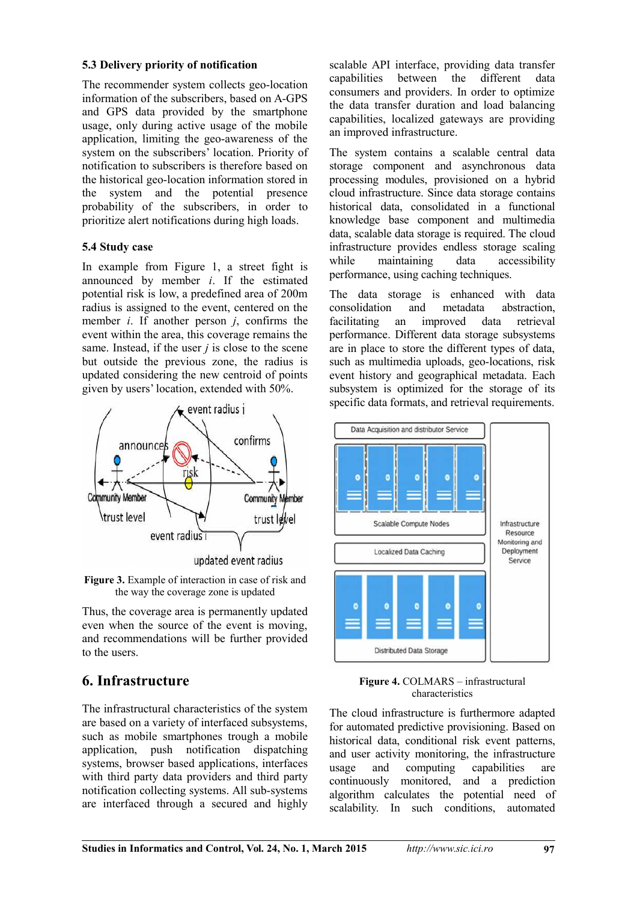#### **5.3 Delivery priority of notification**

The recommender system collects geo-location information of the subscribers, based on A-GPS and GPS data provided by the smartphone usage, only during active usage of the mobile application, limiting the geo-awareness of the system on the subscribers' location. Priority of notification to subscribers is therefore based on the historical geo-location information stored in<br>the system and the potential presence system and the potential presence probability of the subscribers, in order to prioritize alert notifications during high loads.

#### **5.4 Study case**

In example from Figure 1, a street fight is announced by member *i*. If the estimated potential risk is low, a predefined area of 200m radius is assigned to the event, centered on the member *i*. If another person *j*, confirms the event within the area, this coverage remains the same. Instead, if the user *j* is close to the scene but outside the previous zone, the radius is updated considering the new centroid of points given by users' location, extended with 50%.



**Figure 3.** Example of interaction in case of risk and the way the coverage zone is updated

Thus, the coverage area is permanently updated even when the source of the event is moving, and recommendations will be further provided to the users.

### **6. Infrastructure**

The infrastructural characteristics of the system are based on a variety of interfaced subsystems, such as mobile smartphones trough a mobile application, push notification dispatching systems, browser based applications, interfaces with third party data providers and third party notification collecting systems. All sub-systems are interfaced through a secured and highly

scalable API interface, providing data transfer capabilities between the different data consumers and providers. In order to optimize the data transfer duration and load balancing capabilities, localized gateways are providing an improved infrastructure.

The system contains a scalable central data storage component and asynchronous data processing modules, provisioned on a hybrid cloud infrastructure. Since data storage contains historical data, consolidated in a functional knowledge base component and multimedia data, scalable data storage is required. The cloud infrastructure provides endless storage scaling while maintaining data accessibility performance, using caching techniques.

The data storage is enhanced with data consolidation and metadata abstraction, an improved performance. Different data storage subsystems are in place to store the different types of data, such as multimedia uploads, geo-locations, risk event history and geographical metadata. Each subsystem is optimized for the storage of its specific data formats, and retrieval requirements.



#### **Figure 4.** COLMARS – infrastructural characteristics

The cloud infrastructure is furthermore adapted for automated predictive provisioning. Based on historical data, conditional risk event patterns, and user activity monitoring, the infrastructure<br>usage and computing capabilities are usage and computing capabilities are continuously monitored, and a prediction algorithm calculates the potential need of scalability. In such conditions, automated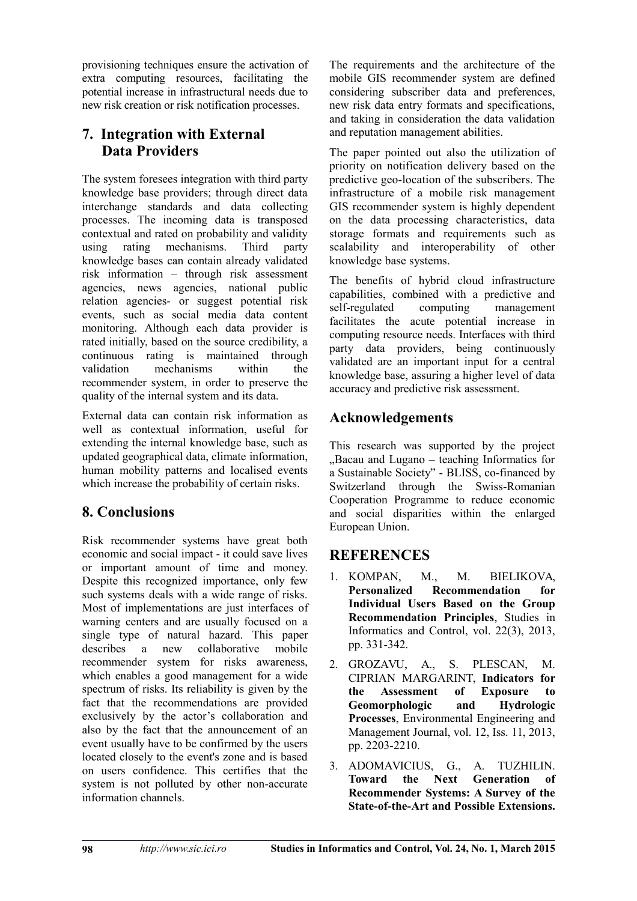provisioning techniques ensure the activation of extra computing resources, facilitating the potential increase in infrastructural needs due to new risk creation or risk notification processes.

# **7. Integration with External Data Providers**

The system foresees integration with third party knowledge base providers; through direct data interchange standards and data collecting processes. The incoming data is transposed contextual and rated on probability and validity using rating mechanisms. Third party knowledge bases can contain already validated risk information – through risk assessment agencies, news agencies, national public relation agencies- or suggest potential risk events, such as social media data content monitoring. Although each data provider is rated initially, based on the source credibility, a continuous rating is maintained through validation mechanisms within the recommender system, in order to preserve the quality of the internal system and its data.

External data can contain risk information as well as contextual information, useful for extending the internal knowledge base, such as updated geographical data, climate information, human mobility patterns and localised events which increase the probability of certain risks.

# **8. Conclusions**

Risk recommender systems have great both economic and social impact - it could save lives or important amount of time and money. Despite this recognized importance, only few such systems deals with a wide range of risks. Most of implementations are just interfaces of warning centers and are usually focused on a single type of natural hazard. This paper describes a new collaborative mobile recommender system for risks awareness, which enables a good management for a wide spectrum of risks. Its reliability is given by the fact that the recommendations are provided exclusively by the actor's collaboration and also by the fact that the announcement of an event usually have to be confirmed by the users located closely to the event's zone and is based on users confidence. This certifies that the system is not polluted by other non-accurate information channels.

The requirements and the architecture of the mobile GIS recommender system are defined considering subscriber data and preferences, new risk data entry formats and specifications, and taking in consideration the data validation and reputation management abilities.

The paper pointed out also the utilization of priority on notification delivery based on the predictive geo-location of the subscribers. The infrastructure of a mobile risk management GIS recommender system is highly dependent on the data processing characteristics, data storage formats and requirements such as scalability and interoperability of other knowledge base systems.

The benefits of hybrid cloud infrastructure capabilities, combined with a predictive and self-regulated computing management facilitates the acute potential increase in computing resource needs. Interfaces with third party data providers, being continuously validated are an important input for a central knowledge base, assuring a higher level of data accuracy and predictive risk assessment.

# **Acknowledgements**

This research was supported by the project ..Bacau and Lugano – teaching Informatics for a Sustainable Society" - BLISS, co-financed by Switzerland through the Swiss-Romanian Cooperation Programme to reduce economic and social disparities within the enlarged European Union.

# **REFERENCES**

- 1. KOMPAN, M., M. BIELIKOVA, **Personalized Recommendation for Individual Users Based on the Group Recommendation Principles**, Studies in Informatics and Control, vol. 22(3), 2013, pp. 331-342.
- 2. GROZAVU, A., S. PLESCAN, M. CIPRIAN MARGARINT, **Indicators for the Assessment of Exposure to Geomorphologic and Hydrologic Processes**, Environmental Engineering and Management Journal, vol. 12, Iss. 11, 2013, pp. 2203-2210.
- 3. ADOMAVICIUS, G., A. TUZHILIN. **Toward the Next Generation of Recommender Systems: A Survey of the State-of-the-Art and Possible Extensions.**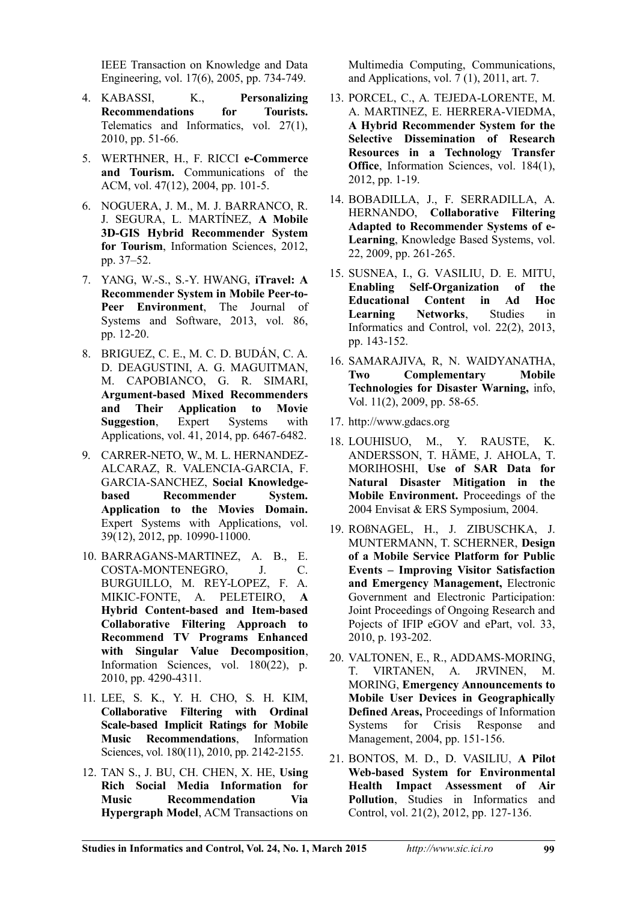IEEE Transaction on Knowledge and Data Engineering, vol. 17(6), 2005, pp. 734-749.

- 4. KABASSI, K., **Personalizing Recommendations for Tourists.** Telematics and Informatics, vol. 27(1), 2010, pp. 51-66.
- 5. WERTHNER, H., F. RICCI **e-Commerce and Tourism.** Communications of the ACM, vol. 47(12), 2004, pp. 101-5.
- 6. NOGUERA, J. M., M. J. BARRANCO, R. J. SEGURA, L. MARTÍNEZ, **A Mobile 3D-GIS Hybrid Recommender System for Tourism**, Information Sciences, 2012, pp. 37–52.
- 7. YANG, W.-S., S.-Y. HWANG, **iTravel: A Recommender System in Mobile Peer-to-Peer Environment**, The Journal of Systems and Software, 2013, vol. 86, pp. 12-20.
- 8. BRIGUEZ, C. E., M. C. D. BUDÁN, C. A. D. DEAGUSTINI, A. G. MAGUITMAN, M. CAPOBIANCO, G. R. SIMARI, **Argument-based Mixed Recommenders and Their Application to Movie<br>Suggestion, Expert Systems with Suggestion**, Expert Systems with Applications, vol. 41, 2014, pp. 6467-6482.
- 9. CARRER-NETO, W., M. L. HERNANDEZ-ALCARAZ, R. VALENCIA-GARCIA, F. GARCIA-SANCHEZ, **Social Knowledgebased Recommender System. Application to the Movies Domain.** Expert Systems with Applications, vol. 39(12), 2012, pp. 10990-11000.
- 10. BARRAGANS-MARTINEZ, A. B., E.<br>COSTA-MONTENEGRO. J. C. COSTA-MONTENEGRO, J. BURGUILLO, M. REY-LOPEZ, F. A. MIKIC-FONTE, A. PELETEIRO, **A Hybrid Content-based and Item-based Collaborative Filtering Approach to Recommend TV Programs Enhanced with Singular Value Decomposition**, Information Sciences, vol. 180(22), p. 2010, pp. 4290-4311.
- 11. LEE, S. K., Y. H. CHO, S. H. KIM, **Collaborative Filtering with Ordinal Scale-based Implicit Ratings for Mobile Music Recommendations**, Information Sciences, vol. 180(11), 2010, pp. 2142-2155.
- 12. TAN S., J. BU, CH. CHEN, X. HE, **Using Rich Social Media Information for Music Recommendation Via Hypergraph Model**, ACM Transactions on

Multimedia Computing, Communications, and Applications, vol. 7 (1), 2011, art. 7.

- 13. PORCEL, C., A. TEJEDA-LORENTE, M. A. MARTINEZ, E. HERRERA-VIEDMA, **A Hybrid Recommender System for the Selective Dissemination of Research Resources in a Technology Transfer Office**, Information Sciences, vol. 184(1), 2012, pp. 1-19.
- 14. BOBADILLA, J., F. SERRADILLA, A. HERNANDO, **Collaborative Filtering Adapted to Recommender Systems of e-Learning**, Knowledge Based Systems, vol. 22, 2009, pp. 261-265.
- 15. SUSNEA, I., G. VASILIU, D. E. MITU, **Enabling Self-Organization of the Educational Content in Ad Hoc Learning Networks**, Studies in Informatics and Control, vol. 22(2), 2013, pp. 143-152.
- 16. SAMARAJIVA, R, N. WAIDYANATHA, **Two Complementary Mobile Technologies for Disaster Warning,** info, Vol. 11(2), 2009, pp. 58-65.
- 17. http://www.gdacs.org
- 18. LOUHISUO, M., Y. RAUSTE, K. ANDERSSON, T. HÄME, J. AHOLA, T. MORIHOSHI, **Use of SAR Data for Natural Disaster Mitigation in the Mobile Environment.** Proceedings of the 2004 Envisat & ERS Symposium, 2004.
- 19. ROßNAGEL, H., J. ZIBUSCHKA, J. MUNTERMANN, T. SCHERNER, **Design of a Mobile Service Platform for Public Events – Improving Visitor Satisfaction and Emergency Management,** Electronic Government and Electronic Participation: Joint Proceedings of Ongoing Research and Pojects of IFIP eGOV and ePart, vol. 33, 2010, p. 193-202.
- 20. VALTONEN, E., R., ADDAMS-MORING, T. VIRTANEN, A. JRVINEN, M. MORING, **Emergency Announcements to Mobile User Devices in Geographically Defined Areas,** Proceedings of Information Systems for Crisis Response and Management, 2004, pp. 151-156.
- 21. BONTOS, M. D., D. VASILIU, **A Pilot Web-based System for Environmental Health Impact Assessment of Air Pollution**, Studies in Informatics and Control, vol. 21(2), 2012, pp. 127-136.